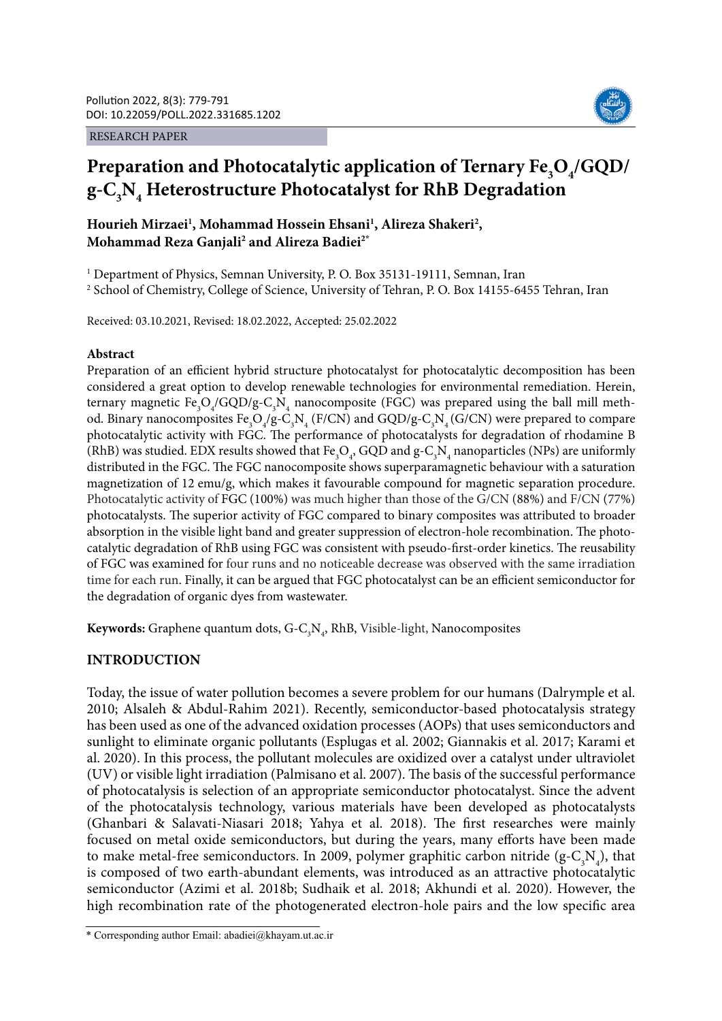#### RESEARCH PAPER



# Preparation and Photocatalytic application of Ternary Fe<sub>3</sub>O<sub>4</sub>/GQD/ **g-C3 N4 Heterostructure Photocatalyst for RhB Degradation**

Hourieh Mirzaei<sup>1</sup>, Mohammad Hossein Ehsani<sup>1</sup>, Alireza Shakeri<sup>2</sup>, **Mohammad Reza Ganjali2 and Alireza Badiei2\***

<sup>1</sup> Department of Physics, Semnan University, P. O. Box 35131-19111, Semnan, Iran 2 School of Chemistry, College of Science, University of Tehran, P. O. Box 14155-6455 Tehran, Iran

Received: 03.10.2021, Revised: 18.02.2022, Accepted: 25.02.2022

## **Abstract**

Preparation of an efficient hybrid structure photocatalyst for photocatalytic decomposition has been considered a great option to develop renewable technologies for environmental remediation. Herein, ternary magnetic Fe<sub>3</sub>O<sub>4</sub>/GQD/g-C<sub>3</sub>N<sub>4</sub> nanocomposite (FGC) was prepared using the ball mill method. Binary nanocomposites  $Fe_{3}O_{4}/g$ -C<sub>3</sub>N<sub>4</sub> (F/CN) and GQD/g-C<sub>3</sub>N<sub>4</sub> (G/CN) were prepared to compare photocatalytic activity with FGC. The performance of photocatalysts for degradation of rhodamine B (RhB) was studied. EDX results showed that  $Fe_{3}O_{4}$ , GQD and  $g-C_{3}N_{4}$  nanoparticles (NPs) are uniformly distributed in the FGC. The FGC nanocomposite shows superparamagnetic behaviour with a saturation magnetization of 12 emu/g, which makes it favourable compound for magnetic separation procedure. Photocatalytic activity of FGC (100%) was much higher than those of the G/CN (88%) and F/CN (77%) photocatalysts. The superior activity of FGC compared to binary composites was attributed to broader absorption in the visible light band and greater suppression of electron-hole recombination. The photocatalytic degradation of RhB using FGC was consistent with pseudo-first-order kinetics. The reusability of FGC was examined for four runs and no noticeable decrease was observed with the same irradiation time for each run. Finally, it can be argued that FGC photocatalyst can be an efficient semiconductor for the degradation of organic dyes from wastewater.

**Keywords:** Graphene quantum dots,  $G-C_3N_4$ , RhB, Visible-light, Nanocomposites

## **INTRODUCTION**

Today, the issue of water pollution becomes a severe problem for our humans (Dalrymple et al. 2010; Alsaleh & Abdul-Rahim 2021). Recently, semiconductor-based photocatalysis strategy has been used as one of the advanced oxidation processes (AOPs) that uses semiconductors and sunlight to eliminate organic pollutants (Esplugas et al. 2002; Giannakis et al. 2017; Karami et al. 2020). In this process, the pollutant molecules are oxidized over a catalyst under ultraviolet (UV) or visible light irradiation (Palmisano et al. 2007). The basis of the successful performance of photocatalysis is selection of an appropriate semiconductor photocatalyst. Since the advent of the photocatalysis technology, various materials have been developed as photocatalysts (Ghanbari & Salavati-Niasari 2018; Yahya et al. 2018). The first researches were mainly focused on metal oxide semiconductors, but during the years, many efforts have been made to make metal-free semiconductors. In 2009, polymer graphitic carbon nitride ( $g$ -C<sub>3</sub>N<sub>4</sub>), that is composed of two earth-abundant elements, was introduced as an attractive photocatalytic semiconductor (Azimi et al. 2018b; Sudhaik et al. 2018; Akhundi et al. 2020). However, the high recombination rate of the photogenerated electron-hole pairs and the low specific area

<sup>\*</sup> Corresponding author Email: abadiei@khayam.ut.ac.ir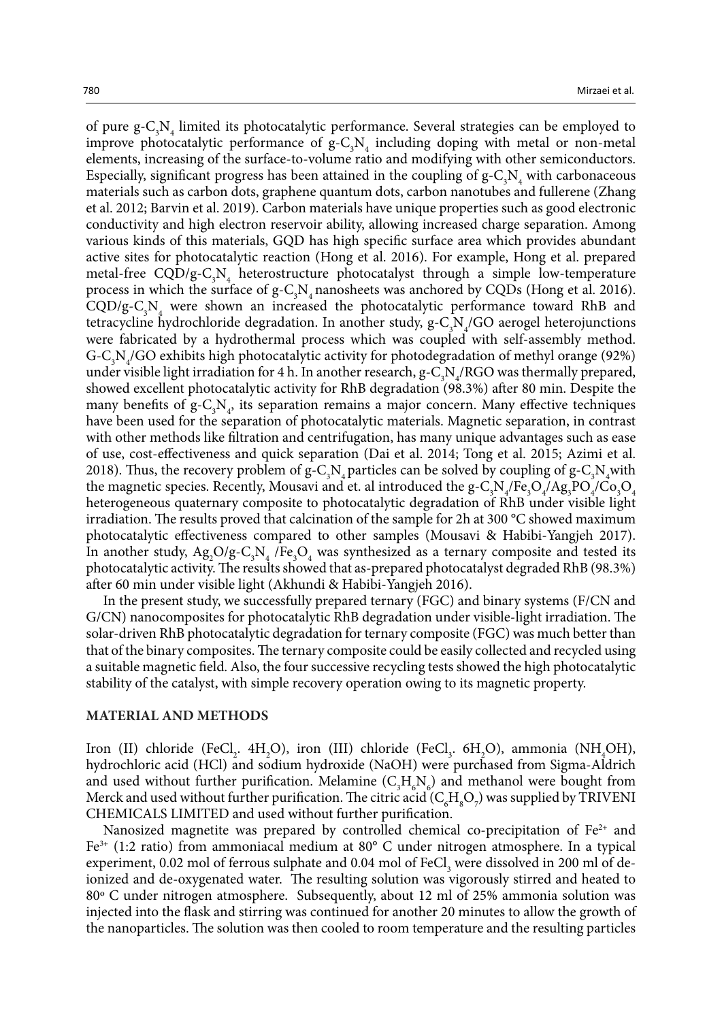of pure  $g-C_3N_4$  limited its photocatalytic performance. Several strategies can be employed to improve photocatalytic performance of  $g - C_3 N_4$  including doping with metal or non-metal elements, increasing of the surface-to-volume ratio and modifying with other semiconductors. Especially, significant progress has been attained in the coupling of  $g-C_3N_4$  with carbonaceous materials such as carbon dots, graphene quantum dots, carbon nanotubes and fullerene (Zhang et al. 2012; Barvin et al. 2019). Carbon materials have unique properties such as good electronic conductivity and high electron reservoir ability, allowing increased charge separation. Among various kinds of this materials, GQD has high specific surface area which provides abundant active sites for photocatalytic reaction (Hong et al. 2016). For example, Hong et al. prepared metal-free  $CQD/g-C_3N_4$  heterostructure photocatalyst through a simple low-temperature process in which the surface of  $g - C_3 N_4$  nanosheets was anchored by CQDs (Hong et al. 2016).  $CQD/g-C<sub>3</sub>N<sub>4</sub>$  were shown an increased the photocatalytic performance toward RhB and tetracycline hydrochloride degradation. In another study,  $g - C_3 N_4/GO$  aerogel heterojunctions were fabricated by a hydrothermal process which was coupled with self-assembly method. G-C<sub>3</sub>N<sub>4</sub>/GO exhibits high photocatalytic activity for photodegradation of methyl orange (92%) under visible light irradiation for 4 h. In another research,  $g - C_3 N_4 / RGO$  was thermally prepared, showed excellent photocatalytic activity for RhB degradation (98.3%) after 80 min. Despite the many benefits of  $g - C_3 N_4$ , its separation remains a major concern. Many effective techniques have been used for the separation of photocatalytic materials. Magnetic separation, in contrast with other methods like filtration and centrifugation, has many unique advantages such as ease of use, cost-effectiveness and quick separation (Dai et al. 2014; Tong et al. 2015; Azimi et al. 2018). Thus, the recovery problem of  $g - C_3 N_4$  particles can be solved by coupling of  $g - C_3 N_4$  with the magnetic species. Recently, Mousavi and et. al introduced the g-C<sub>3</sub>N<sub>4</sub>/Fe<sub>3</sub>O<sub>4</sub>/Ag<sub>3</sub>PO<sub>4</sub>/Co<sub>3</sub>O<sub>4</sub> heterogeneous quaternary composite to photocatalytic degradation of RhB under visible light irradiation. The results proved that calcination of the sample for 2h at 300 °C showed maximum photocatalytic effectiveness compared to other samples (Mousavi & Habibi-Yangjeh 2017). In another study,  $Ag_2O/g-C_3N_4$  /Fe<sub>3</sub>O<sub>4</sub> was synthesized as a ternary composite and tested its photocatalytic activity. The results showed that as-prepared photocatalyst degraded RhB (98.3%) after 60 min under visible light (Akhundi & Habibi-Yangjeh 2016).

In the present study, we successfully prepared ternary (FGC) and binary systems (F/CN and G/CN) nanocomposites for photocatalytic RhB degradation under visible-light irradiation. The solar-driven RhB photocatalytic degradation for ternary composite (FGC) was much better than that of the binary composites. The ternary composite could be easily collected and recycled using a suitable magnetic field. Also, the four successive recycling tests showed the high photocatalytic stability of the catalyst, with simple recovery operation owing to its magnetic property.

#### **MATERIAL AND METHODS**

Iron (II) chloride (FeCl<sub>2</sub>. 4H<sub>2</sub>O), iron (III) chloride (FeCl<sub>3</sub>. 6H<sub>2</sub>O), ammonia (NH<sub>4</sub>OH), hydrochloric acid (HCl) and sodium hydroxide (NaOH) were purchased from Sigma-Aldrich and used without further purification. Melamine  $(C_3H_6N_6)$  and methanol were bought from Merck and used without further purification. The citric acid  $(C_6H_8O_7)$  was supplied by TRIVENI CHEMICALS LIMITED and used without further purification.

Nanosized magnetite was prepared by controlled chemical co-precipitation of  $Fe<sup>2+</sup>$  and  $Fe<sup>3+</sup>$  (1:2 ratio) from ammoniacal medium at 80 $^{\circ}$  C under nitrogen atmosphere. In a typical experiment,  $0.02$  mol of ferrous sulphate and  $0.04$  mol of FeCl<sub>3</sub> were dissolved in 200 ml of deionized and de-oxygenated water. The resulting solution was vigorously stirred and heated to 80º C under nitrogen atmosphere. Subsequently, about 12 ml of 25% ammonia solution was injected into the flask and stirring was continued for another 20 minutes to allow the growth of the nanoparticles. The solution was then cooled to room temperature and the resulting particles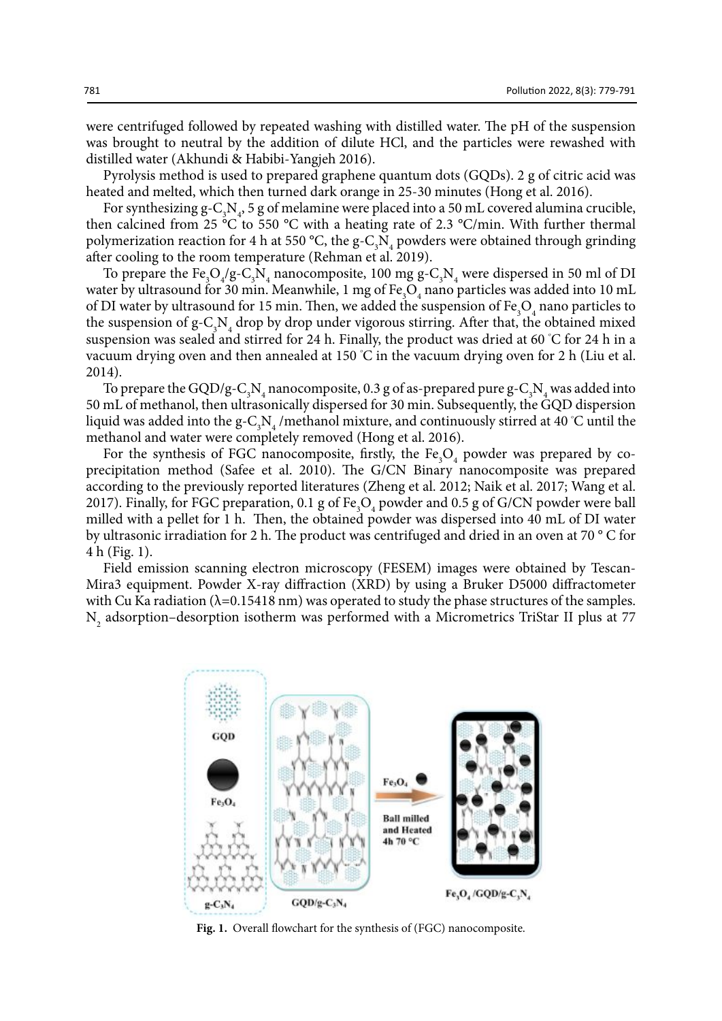were centrifuged followed by repeated washing with distilled water. The pH of the suspension was brought to neutral by the addition of dilute HCl, and the particles were rewashed with distilled water (Akhundi & Habibi-Yangjeh 2016).

Pyrolysis method is used to prepared graphene quantum dots (GQDs). 2 g of citric acid was heated and melted, which then turned dark orange in 25-30 minutes (Hong et al. 2016).

For synthesizing  $g - C_3 N_4$ , 5 g of melamine were placed into a 50 mL covered alumina crucible, then calcined from 25 °C to 550 °C with a heating rate of 2.3 °C/min. With further thermal polymerization reaction for 4 h at 550 °C, the  $g-C_3N_4$  powders were obtained through grinding after cooling to the room temperature (Rehman et al. 2019).

To prepare the  $Fe_{3}O_{4}/g-C_{3}N_{4}$  nanocomposite, 100 mg g-C<sub>3</sub>N<sub>4</sub> were dispersed in 50 ml of DI water by ultrasound for 30 min. Meanwhile, 1 mg of  $\text{Fe}_{3}\text{O}_{4}$  nano particles was added into 10 mL of DI water by ultrasound for 15 min. Then, we added the suspension of  $\text{Fe}_{3}\text{O}_{4}$  nano particles to the suspension of  $g$ -C<sub>3</sub>N<sub>4</sub> drop by drop under vigorous stirring. After that, the obtained mixed suspension was sealed and stirred for 24 h. Finally, the product was dried at 60 °C for 24 h in a vacuum drying oven and then annealed at 150 °C in the vacuum drying oven for 2 h (Liu et al. 2014).

To prepare the GQD/g-C<sub>3</sub>N<sub>4</sub> nanocomposite, 0.3 g of as-prepared pure g-C<sub>3</sub>N<sub>4</sub> was added into 50 mL of methanol, then ultrasonically dispersed for 30 min. Subsequently, the GQD dispersion liquid was added into the g-C<sub>3</sub>N<sub>4</sub>/methanol mixture, and continuously stirred at 40 °C until the methanol and water were completely removed (Hong et al. 2016).

For the synthesis of FGC nanocomposite, firstly, the  $Fe<sub>3</sub>O<sub>4</sub>$  powder was prepared by coprecipitation method (Safee et al. 2010). The G/CN Binary nanocomposite was prepared according to the previously reported literatures (Zheng et al. 2012; Naik et al. 2017; Wang et al. 2017). Finally, for FGC preparation,  $0.1$  g of Fe<sub>3</sub>O<sub>4</sub> powder and  $0.5$  g of G/CN powder were ball milled with a pellet for 1 h. Then, the obtained powder was dispersed into 40 mL of DI water by ultrasonic irradiation for 2 h. The product was centrifuged and dried in an oven at 70 ° C for 4 h (Fig. 1).

Field emission scanning electron microscopy (FESEM) images were obtained by Tescan-Mira3 equipment. Powder X-ray diffraction (XRD) by using a Bruker D5000 diffractometer with Cu Ka radiation ( $\lambda$ =0.15418 nm) was operated to study the phase structures of the samples.  $\mathrm{N}_\mathrm{2}$  adsorption–desorption isotherm was performed with a Micrometrics TriStar II plus at 77



**Fig. 1.** Overall flowchart for the synthesis of (FGC) nanocomposite.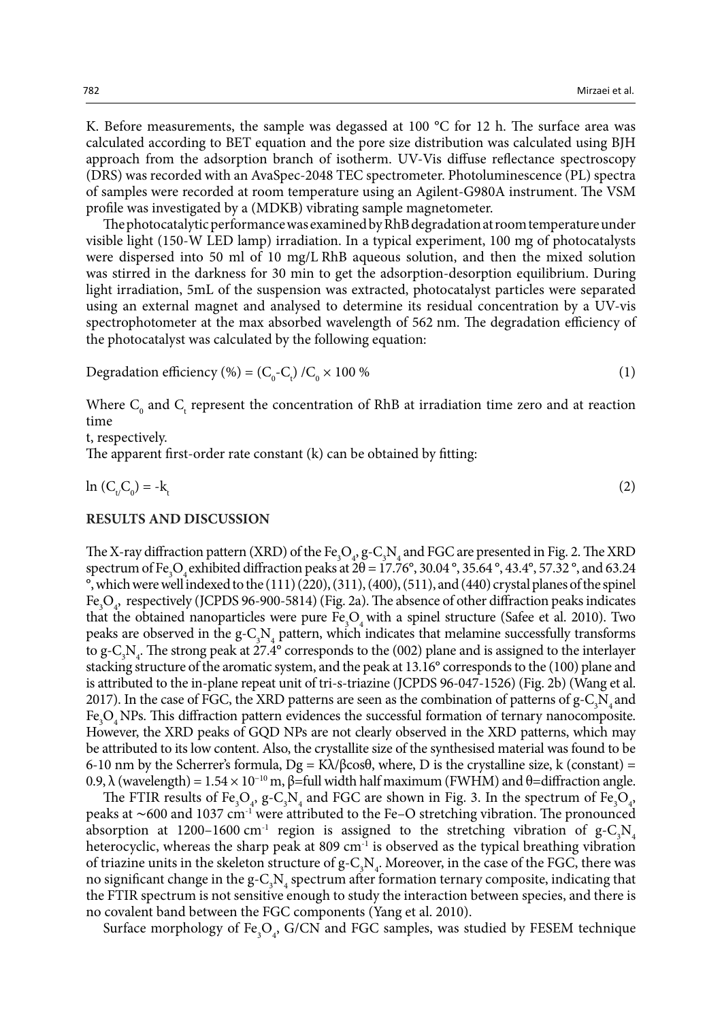K. Before measurements, the sample was degassed at 100 °C for 12 h. The surface area was calculated according to BET equation and the pore size distribution was calculated using BJH approach from the adsorption branch of isotherm. UV-Vis diffuse reflectance spectroscopy (DRS) was recorded with an AvaSpec-2048 TEC spectrometer. Photoluminescence (PL) spectra of samples were recorded at room temperature using an Agilent-G980A instrument. The VSM profile was investigated by a (MDKB) vibrating sample magnetometer.

The photocatalytic performance was examined by RhB degradation at room temperature under visible light (150-W LED lamp) irradiation. In a typical experiment, 100 mg of photocatalysts were dispersed into 50 ml of 10 mg/L RhB aqueous solution, and then the mixed solution was stirred in the darkness for 30 min to get the adsorption-desorption equilibrium. During light irradiation, 5mL of the suspension was extracted, photocatalyst particles were separated using an external magnet and analysed to determine its residual concentration by a UV-vis spectrophotometer at the max absorbed wavelength of 562 nm. The degradation efficiency of the photocatalyst was calculated by the following equation:

$$
Degradation efficiency (%) = (C_0-C_t) / C_0 \times 100 \%
$$
 (1)

Where  $C_0$  and  $C_t$  represent the concentration of RhB at irradiation time zero and at reaction time

t, respectively.

The apparent first-order rate constant (k) can be obtained by fitting:

 $\ln (C_{t}/C_{0}) = -k_{t}$  $\left( 2\right)$ 

#### **RESULTS AND DISCUSSION**

The X-ray diffraction pattern (XRD) of the Fe<sub>3</sub>O<sub>4</sub>, g-C<sub>3</sub>N<sub>4</sub> and FGC are presented in Fig. 2. The XRD spectrum of Fe<sub>3</sub>O<sub>4</sub> exhibited diffraction peaks at  $2\theta = 17.76^{\circ}$ , 30.04 °, 35.64 °, 43.4°, 57.32 °, and 63.24 °, which were well indexed to the (111) (220), (311), (400), (511), and (440) crystal planes of the spinel Fe<sub>3</sub>O<sub>4</sub>, respectively (JCPDS 96-900-5814) (Fig. 2a). The absence of other diffraction peaks indicates that the obtained nanoparticles were pure  $Fe<sub>3</sub>O<sub>4</sub>$  with a spinel structure (Safee et al. 2010). Two peaks are observed in the  $g - C_3 N_4$  pattern, which indicates that melamine successfully transforms to  $g-C_3N_4$ . The strong peak at 27.4° corresponds to the (002) plane and is assigned to the interlayer stacking structure of the aromatic system, and the peak at 13.16° corresponds to the (100) plane and is attributed to the in-plane repeat unit of tri-s-triazine (JCPDS 96-047-1526) (Fig. 2b) (Wang et al. 2017). In the case of FGC, the XRD patterns are seen as the combination of patterns of  $g - C_3 N_4$  and Fe<sub>3</sub>O<sub>4</sub> NPs. This diffraction pattern evidences the successful formation of ternary nanocomposite. However, the XRD peaks of GQD NPs are not clearly observed in the XRD patterns, which may be attributed to its low content. Also, the crystallite size of the synthesised material was found to be 6-10 nm by the Scherrer's formula,  $Dg = K\lambda/\beta cos\theta$ , where, D is the crystalline size, k (constant) = 0.9, λ (wavelength) =  $1.54 \times 10^{-10}$  m, β=full width half maximum (FWHM) and θ=diffraction angle.

The FTIR results of Fe<sub>3</sub>O<sub>4</sub>, g-C<sub>3</sub>N<sub>4</sub> and FGC are shown in Fig. 3. In the spectrum of Fe<sub>3</sub>O<sub>4</sub>, peaks at ~600 and 1037 cm<sup>-1</sup> were attributed to the Fe–O stretching vibration. The pronounced absorption at 1200-1600 cm<sup>-1</sup> region is assigned to the stretching vibration of  $g - C_3 N_4$ heterocyclic, whereas the sharp peak at 809 cm<sup>-1</sup> is observed as the typical breathing vibration of triazine units in the skeleton structure of  $g-C_3N_4$ . Moreover, in the case of the FGC, there was no significant change in the  $g-C_3N_4$  spectrum after formation ternary composite, indicating that the FTIR spectrum is not sensitive enough to study the interaction between species, and there is no covalent band between the FGC components (Yang et al. 2010).

Surface morphology of  $\text{Fe}_{3}\text{O}_{4}$ , G/CN and FGC samples, was studied by FESEM technique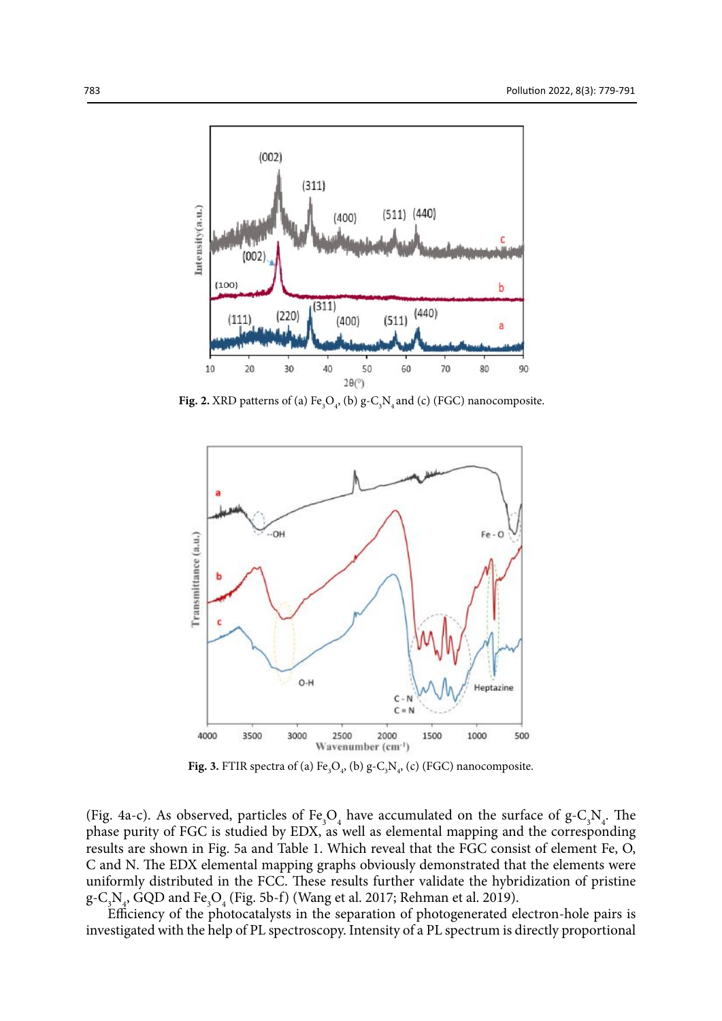

**Fig. 2.** XRD patterns of (a)  $Fe<sub>3</sub>O<sub>4</sub>$ , (b) g- $C<sub>3</sub>N<sub>4</sub>$  and (c) (FGC) nanocomposite.



**Fig. 3.** FTIR spectra of (a)  $Fe_3O_4$ , (b)  $g-C_3N_4$ , (c) (FGC) nanocomposite.

(Fig. 4a-c). As observed, particles of  $Fe<sub>3</sub>O<sub>4</sub>$  have accumulated on the surface of g-C<sub>3</sub>N<sub>4</sub>. The phase purity of FGC is studied by EDX, as well as elemental mapping and the corresponding results are shown in Fig. 5a and Table 1. Which reveal that the FGC consist of element Fe, O, C and N. The EDX elemental mapping graphs obviously demonstrated that the elements were uniformly distributed in the FCC. These results further validate the hybridization of pristine g-C<sub>3</sub>N<sub>4</sub>, GQD and Fe<sub>3</sub>O<sub>4</sub> (Fig. 5b-f) (Wang et al. 2017; Rehman et al. 2019).

Efficiency of the photocatalysts in the separation of photogenerated electron-hole pairs is investigated with the help of PL spectroscopy. Intensity of a PL spectrum is directly proportional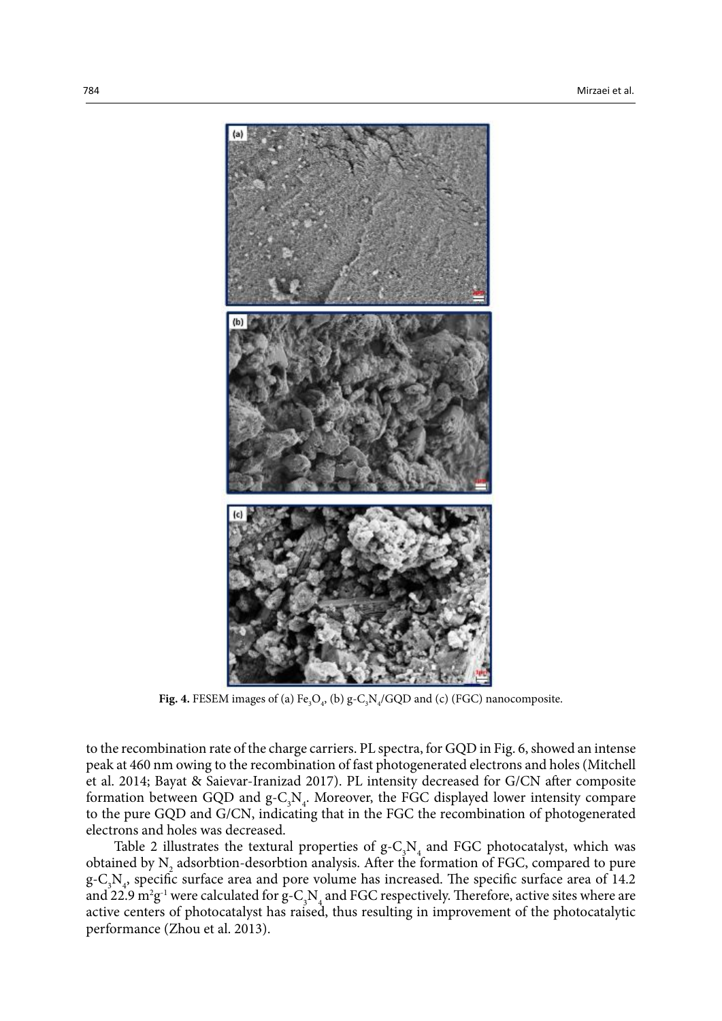

**Fig. 4.** FESEM images of (a)  $Fe_{3}O_{4}$ , (b)  $g-C_{3}N_{4}/GQD$  and (c) (FGC) nanocomposite.

to the recombination rate of the charge carriers. PL spectra, for GQD in Fig. 6, showed an intense peak at 460 nm owing to the recombination of fast photogenerated electrons and holes (Mitchell et al. 2014; Bayat & Saievar-Iranizad 2017). PL intensity decreased for G/CN after composite formation between GQD and  $g-C_3N_4$ . Moreover, the FGC displayed lower intensity compare to the pure GQD and G/CN, indicating that in the FGC the recombination of photogenerated electrons and holes was decreased.

Table 2 illustrates the textural properties of  $g-C_3N_4$  and FGC photocatalyst, which was obtained by  $N_2$  adsorbtion-desorbtion analysis. After the formation of FGC, compared to pure  $g - C_3 N_4$ , specific surface area and pore volume has increased. The specific surface area of 14.2 and 22.9  $m^2g^{-1}$  were calculated for  $g-C_3N_4$  and FGC respectively. Therefore, active sites where are active centers of photocatalyst has raised, thus resulting in improvement of the photocatalytic performance (Zhou et al. 2013).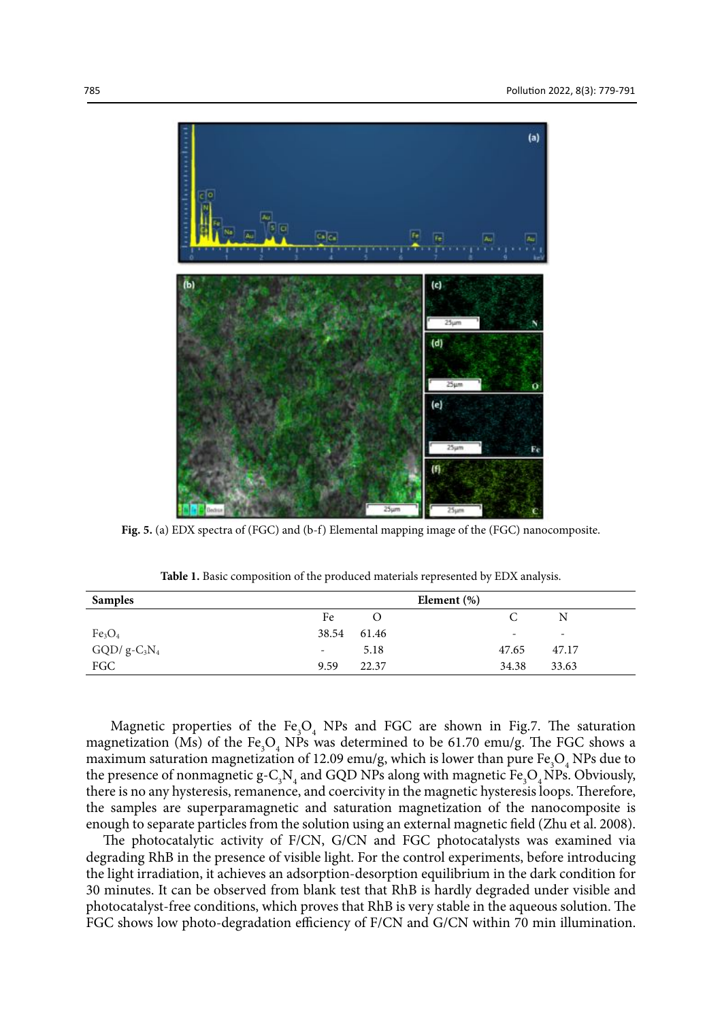

**Fig.5. (a) EDX spectra of (FGC) and (b-f) Elemental mapping image of the (FGC) nanocomposite**. **Fig. 5.** (a) EDX spectra of (FGC) and (b-f) Elemental mapping image of the (FGC) nanocomposite.

| <b>Samples</b>                 |                          |          | Element $(\%)$ |                          |                          |
|--------------------------------|--------------------------|----------|----------------|--------------------------|--------------------------|
|                                | Fe                       | $\Omega$ |                |                          | N                        |
| Fe <sub>3</sub> O <sub>4</sub> | 38.54                    | 61.46    |                | $\overline{\phantom{a}}$ | $\overline{\phantom{a}}$ |
| $GQD/g-C_3N_4$                 | $\overline{\phantom{a}}$ | 5.18     |                | 47.65                    | 47.17                    |
| FGC                            | 9.59                     | 22.37    |                | 34.38                    | 33.63                    |

**Table1. Basic composition of the produced materials represented by EDX analysis. Table 1.** Basic composition of the produced materials represented by EDX analysis.

Magnetic properties of the  $Fe<sub>3</sub>O<sub>4</sub>$  NPs and FGC are shown in Fig.7. The saturation magnetization (Ms) of the  $Fe<sub>3</sub>O<sub>4</sub>$  NPs was determined to be 61.70 emu/g. The FGC shows a maximum saturation magnetization of 12.09 emu/g, which is lower than pure  $Fe<sub>3</sub>O<sub>4</sub>$  NPs due to the presence of nonmagnetic  $g - C_3 N_4$  and GQD NPs along with magnetic  $Fe_3O_4$  NPs. Obviously, there is no any hysteresis, remanence, and coercivity in the magnetic hysteresis loops. Therefore, the samples are superparamagnetic and saturation magnetization of the nanocomposite is enough to separate particles from the solution using an external magnetic field (Zhu et al. 2008).

The photocatalytic activity of F/CN, G/CN and FGC photocatalysts was examined via degrading RhB in the presence of visible light. For the control experiments, before introducing the light irradiation, it achieves an adsorption-desorption equilibrium in the dark condition for 30 minutes. It can be observed from blank test that RhB is hardly degraded under visible and photocatalyst-free conditions, which proves that RhB is very stable in the aqueous solution. The FGC shows low photo-degradation efficiency of F/CN and G/CN within 70 min illumination.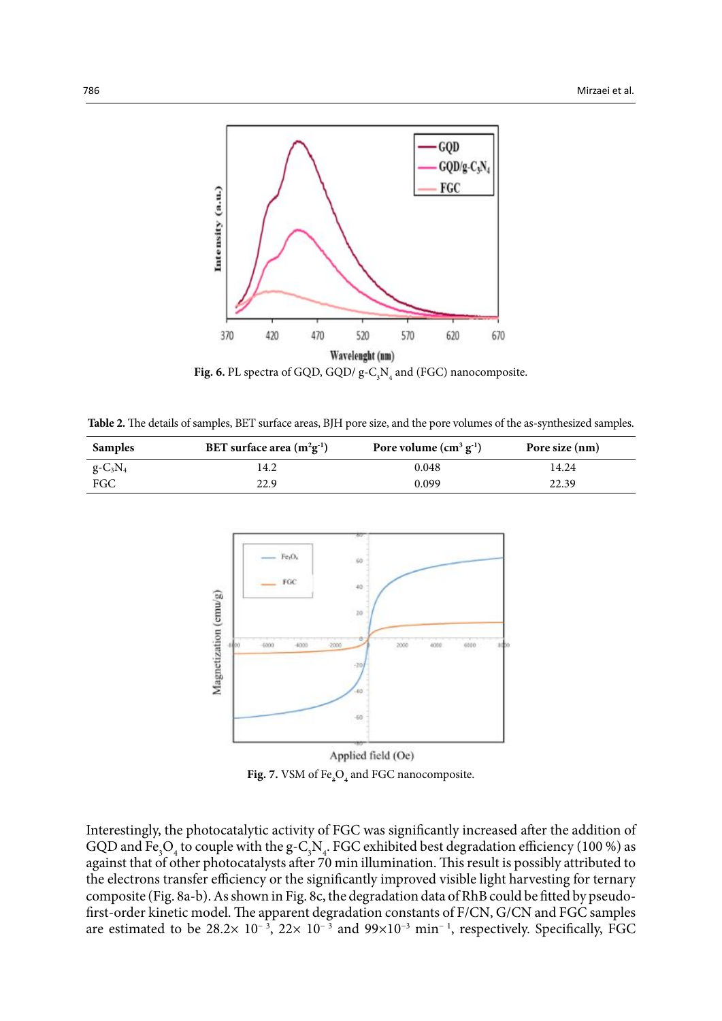

**Fig. 6.** PL spectra of GQD, GQD/ $g - C_3N_4$  and (FGC) nanocomposite.

Table 2. The details of samples, BET surface areas, BJH pore size, and the pore volumes of the as-synthesized samples.

| <b>Samples</b> | BET surface area $(m^2g^{-1})$ | Pore volume $(cm3 g-1)$ | Pore size (nm) |  |
|----------------|--------------------------------|-------------------------|----------------|--|
| $g - C_3 N_4$  | 14.2                           | 0.048                   | 14.24          |  |
| FGC            | 22.9                           | 0.099                   | 22.39          |  |



Applied field (Oe) **Fig. 7.** VSM of  $\text{Fe}_{3}\text{O}_{4}$  and FGC nanocomposite.

Interestingly, the photocatalytic activity of FGC was significantly increased after the addition of GQD and Fe<sub>3</sub>O<sub>4</sub> to couple with the g-C<sub>3</sub>N<sub>4</sub>. FGC exhibited best degradation efficiency (100 %) as against that of other photocatalysts after 70 min illumination. This result is possibly attributed to the electrons transfer efficiency or the significantly improved visible light harvesting for ternary composite (Fig. 8a-b). As shown in Fig. 8c, the degradation data of RhB could be fitted by pseudofirst-order kinetic model. The apparent degradation constants of F/CN, G/CN and FGC samples are estimated to be 28.2×  $10^{-3}$ ,  $22 \times 10^{-3}$  and  $99 \times 10^{-3}$  min<sup>-1</sup>, respectively. Specifically, FGC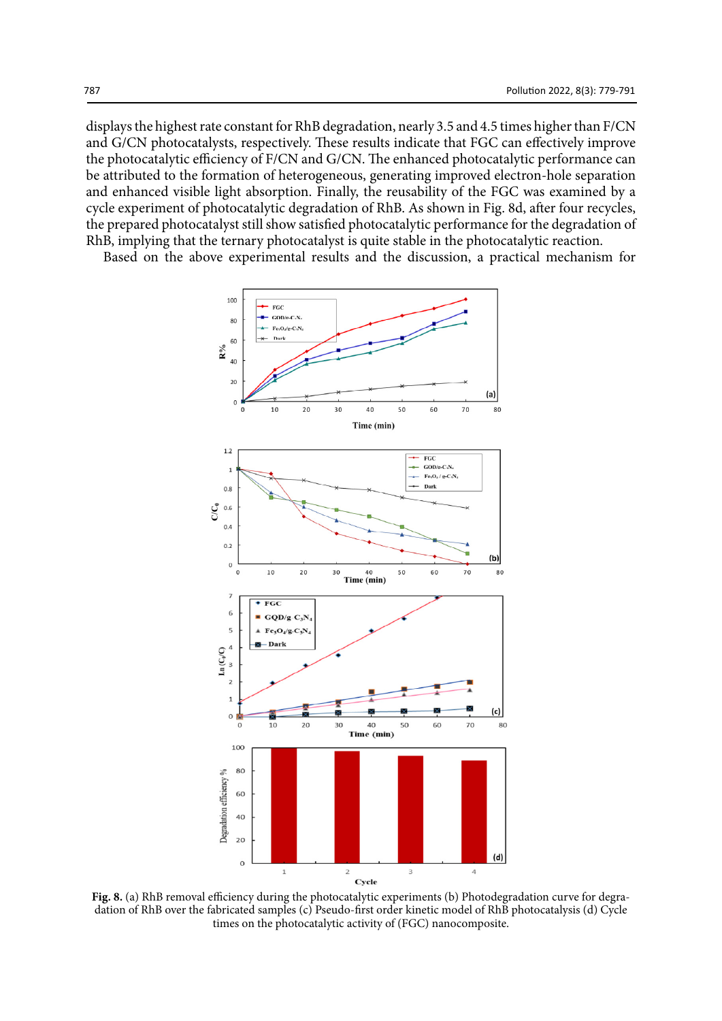displays the highest rate constant for RhB degradation, nearly 3.5 and 4.5 times higher than F/CN and G/CN photocatalysts, respectively. These results indicate that FGC can effectively improve the photocatalytic efficiency of F/CN and G/CN. The enhanced photocatalytic performance can be attributed to the formation of heterogeneous, generating improved electron-hole separation and enhanced visible light absorption. Finally, the reusability of the FGC was examined by a cycle experiment of photocatalytic degradation of RhB. As shown in Fig. 8d, after four recycles, the prepared photocatalyst still show satisfied photocatalytic performance for the degradation of RhB, implying that the ternary photocatalyst is quite stable in the photocatalytic reaction.

Based on the above experimental results and the discussion, a practical mechanism for



FIG. **EXPERIMENTAL CONSTRUCT CONSTRUCT THE PROPERTIES** (e) PHOTOGRADATION CURVE FOR **FOR FIG. PHOTOCATAL Fig. 8.** (a) RhB removal efficiency during the photocatalytic experiments (b) Photodegradation curve for degradation of RhB over the fabricated samples (c) Pseudo-first order kinetic model of RhB photocatalysis (d) Cycle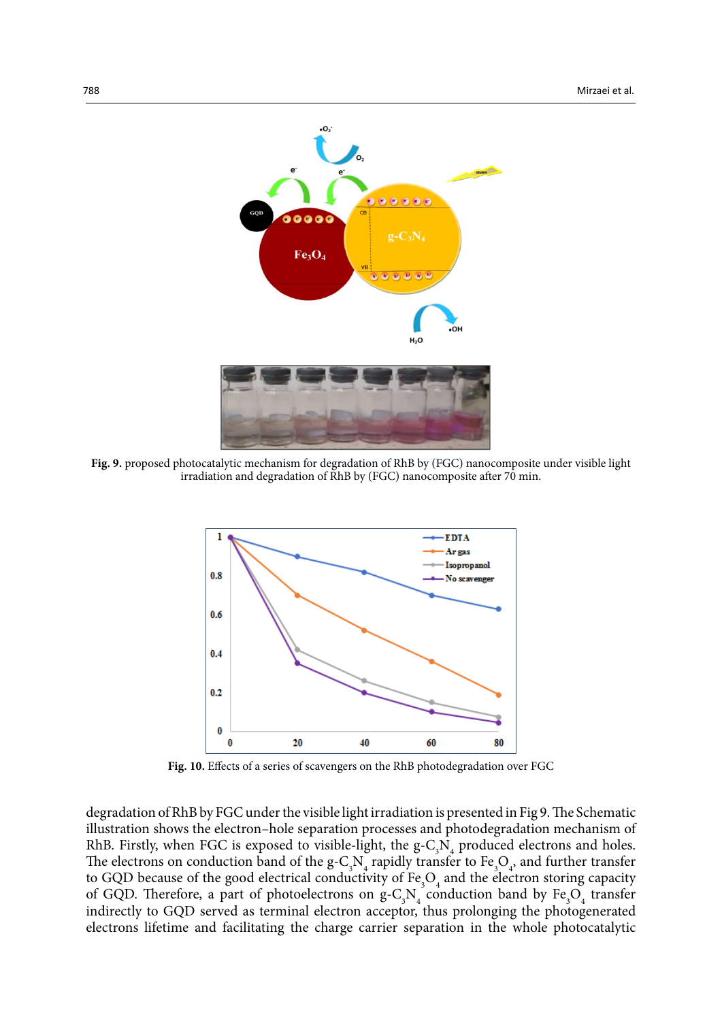

**Fig. 9.** proposed photocatalytic mechanism for degradation of RhB by (FGC) nanocomposite under visible light irradiation and degradation of RhB by (FGC) nanocomposite after 70 min.



**Fig. 10. Effects of a series of scavengers on the RhB photodegradation over FGC Fig. 10.** Effects of a series of scavengers on the RhB photodegradation over FGC

degradation of RhB by FGC under the visible light irradiation is presented in Fig 9. The Schematic illustration shows the electron–hole separation processes and photodegradation mechanism of RhB. Firstly, when FGC is exposed to visible-light, the  $g-C_3N_4$  produced electrons and holes. The electrons on conduction band of the  $g-C_3N_4$  rapidly transfer to  $Fe_3O_4$ , and further transfer to GQD because of the good electrical conductivity of  $Fe<sub>3</sub>O<sub>4</sub>$  and the electron storing capacity of GQD. Therefore, a part of photoelectrons on  $g-C_3N_4$  conduction band by  $Fe_3O_4$  transfer indirectly to GQD served as terminal electron acceptor, thus prolonging the photogenerated electrons lifetime and facilitating the charge carrier separation in the whole photocatalytic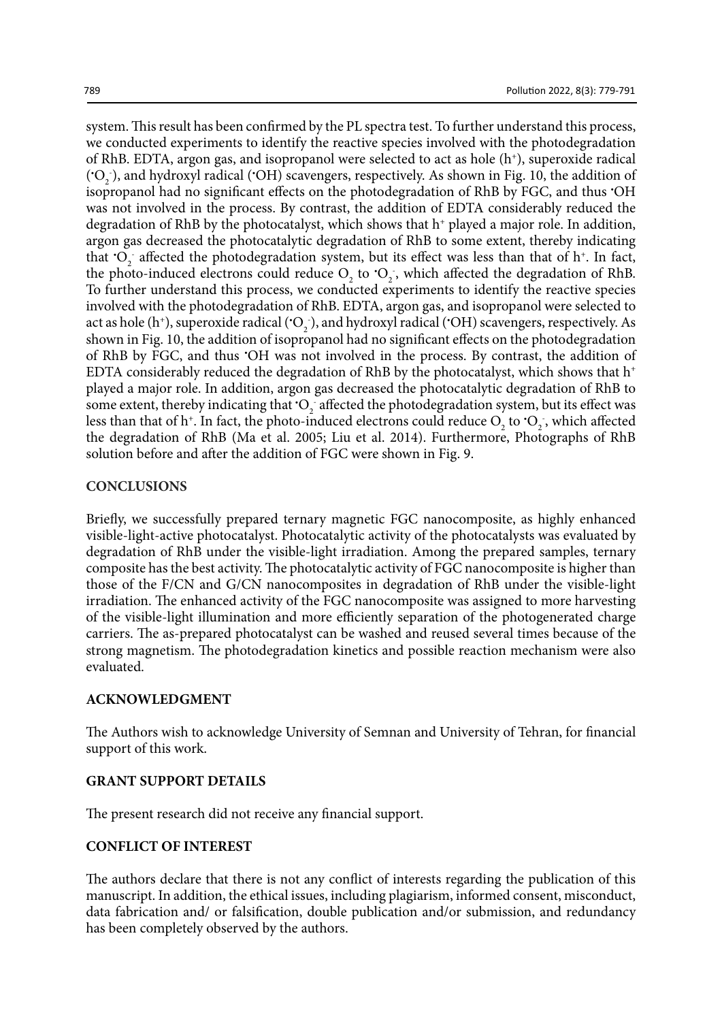system. This result has been confirmed by the PL spectra test. To further understand this process, we conducted experiments to identify the reactive species involved with the photodegradation of RhB. EDTA, argon gas, and isopropanol were selected to act as hole  $(h<sup>+</sup>)$ , superoxide radical ('O<sub>2</sub>), and hydroxyl radical ('OH) scavengers, respectively. As shown in Fig. 10, the addition of isopropanol had no significant effects on the photodegradation of RhB by FGC, and thus • OH was not involved in the process. By contrast, the addition of EDTA considerably reduced the degradation of RhB by the photocatalyst, which shows that  $h^+$  played a major role. In addition, argon gas decreased the photocatalytic degradation of RhB to some extent, thereby indicating that  $O_2$  affected the photodegradation system, but its effect was less than that of h<sup>+</sup>. In fact, the photo-induced electrons could reduce  $O_2$  to  $O_2$ , which affected the degradation of RhB. To further understand this process, we conducted experiments to identify the reactive species involved with the photodegradation of RhB. EDTA, argon gas, and isopropanol were selected to act as hole (h<sup>+</sup>), superoxide radical ( $O_2$ ), and hydroxyl radical ( $OH$ ) scavengers, respectively. As shown in Fig. 10, the addition of isopropanol had no significant effects on the photodegradation of RhB by FGC, and thus • OH was not involved in the process. By contrast, the addition of EDTA considerably reduced the degradation of RhB by the photocatalyst, which shows that  $h^+$ played a major role. In addition, argon gas decreased the photocatalytic degradation of RhB to some extent, thereby indicating that  $O_2$  affected the photodegradation system, but its effect was less than that of h<sup>+</sup>. In fact, the photo-induced electrons could reduce  $O_2$  to  $O_2$ , which affected the degradation of RhB (Ma et al. 2005; Liu et al. 2014). Furthermore, Photographs of RhB solution before and after the addition of FGC were shown in Fig. 9.

## **CONCLUSIONS**

Briefly, we successfully prepared ternary magnetic FGC nanocomposite, as highly enhanced visible-light-active photocatalyst. Photocatalytic activity of the photocatalysts was evaluated by degradation of RhB under the visible-light irradiation. Among the prepared samples, ternary composite has the best activity. The photocatalytic activity of FGC nanocomposite is higher than those of the F/CN and G/CN nanocomposites in degradation of RhB under the visible-light irradiation. The enhanced activity of the FGC nanocomposite was assigned to more harvesting of the visible-light illumination and more efficiently separation of the photogenerated charge carriers. The as-prepared photocatalyst can be washed and reused several times because of the strong magnetism. The photodegradation kinetics and possible reaction mechanism were also evaluated.

## **ACKNOWLEDGMENT**

The Authors wish to acknowledge University of Semnan and University of Tehran, for financial support of this work.

## **GRANT SUPPORT DETAILS**

The present research did not receive any financial support.

## **CONFLICT OF INTEREST**

The authors declare that there is not any conflict of interests regarding the publication of this manuscript. In addition, the ethical issues, including plagiarism, informed consent, misconduct, data fabrication and/ or falsification, double publication and/or submission, and redundancy has been completely observed by the authors.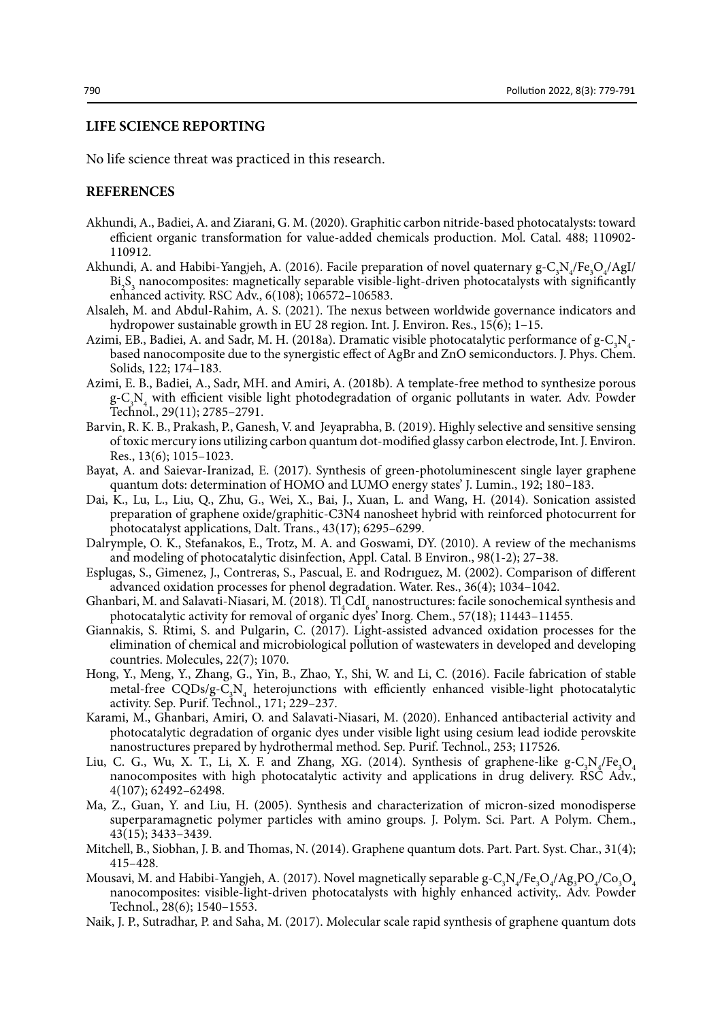#### **LIFE SCIENCE REPORTING**

No life science threat was practiced in this research.

## **REFERENCES**

- Akhundi, A., Badiei, A. and Ziarani, G. M. (2020). Graphitic carbon nitride-based photocatalysts: toward efficient organic transformation for value-added chemicals production. Mol. Catal. 488; 110902- 110912.
- Akhundi, A. and Habibi-Yangjeh, A. (2016). Facile preparation of novel quaternary  $g C_3 N_4 / Fe_3 O_4 / Agl$ Bi<sub>2</sub>S<sub>3</sub> nanocomposites: magnetically separable visible-light-driven photocatalysts with significantly enhanced activity. RSC Adv., 6(108); 106572–106583.
- Alsaleh, M. and Abdul-Rahim, A. S. (2021). The nexus between worldwide governance indicators and hydropower sustainable growth in EU 28 region. Int. J. Environ. Res., 15(6); 1–15.
- Azimi, EB., Badiei, A. and Sadr, M. H. (2018a). Dramatic visible photocatalytic performance of  $g-C_3N_4$ . based nanocomposite due to the synergistic effect of AgBr and ZnO semiconductors. J. Phys. Chem. Solids, 122; 174–183.
- Azimi, E. B., Badiei, A., Sadr, MH. and Amiri, A. (2018b). A template-free method to synthesize porous g-C3 N4 with efficient visible light photodegradation of organic pollutants in water. Adv. Powder Technol., 29(11); 2785–2791.
- Barvin, R. K. B., Prakash, P., Ganesh, V. and Jeyaprabha, B. (2019). Highly selective and sensitive sensing of toxic mercury ions utilizing carbon quantum dot-modified glassy carbon electrode, Int. J. Environ. Res., 13(6); 1015–1023.
- Bayat, A. and Saievar-Iranizad, E. (2017). Synthesis of green-photoluminescent single layer graphene quantum dots: determination of HOMO and LUMO energy states' J. Lumin., 192; 180–183.
- Dai, K., Lu, L., Liu, Q., Zhu, G., Wei, X., Bai, J., Xuan, L. and Wang, H. (2014). Sonication assisted preparation of graphene oxide/graphitic-C3N4 nanosheet hybrid with reinforced photocurrent for photocatalyst applications, Dalt. Trans., 43(17); 6295–6299.
- Dalrymple, O. K., Stefanakos, E., Trotz, M. A. and Goswami, DY. (2010). A review of the mechanisms and modeling of photocatalytic disinfection, Appl. Catal. B Environ., 98(1-2); 27–38.
- Esplugas, S., Gimenez, J., Contreras, S., Pascual, E. and Rodrıguez, M. (2002). Comparison of different advanced oxidation processes for phenol degradation. Water. Res., 36(4); 1034–1042.
- Ghanbari, M. and Salavati-Niasari, M. (2018).  $TI_4^{\circ}CdI_6^{\circ}$  nanostructures: facile sonochemical synthesis and photocatalytic activity for removal of organic dyes' Inorg. Chem., 57(18); 11443–11455.
- Giannakis, S. Rtimi, S. and Pulgarin, C. (2017). Light-assisted advanced oxidation processes for the elimination of chemical and microbiological pollution of wastewaters in developed and developing countries. Molecules, 22(7); 1070.
- Hong, Y., Meng, Y., Zhang, G., Yin, B., Zhao, Y., Shi, W. and Li, C. (2016). Facile fabrication of stable metal-free  $CQDs/g-C_3N_4$  heterojunctions with efficiently enhanced visible-light photocatalytic activity. Sep. Purif. Technol., 171; 229–237.
- Karami, M., Ghanbari, Amiri, O. and Salavati-Niasari, M. (2020). Enhanced antibacterial activity and photocatalytic degradation of organic dyes under visible light using cesium lead iodide perovskite nanostructures prepared by hydrothermal method. Sep. Purif. Technol., 253; 117526.
- Liu, C. G., Wu, X. T., Li, X. F. and Zhang, XG. (2014). Synthesis of graphene-like  $g C_3 N_4 / Fe_3 O_4$ nanocomposites with high photocatalytic activity and applications in drug delivery. RSC Adv., 4(107); 62492–62498.
- Ma, Z., Guan, Y. and Liu, H. (2005). Synthesis and characterization of micron‐sized monodisperse superparamagnetic polymer particles with amino groups. J. Polym. Sci. Part. A Polym. Chem., 43(15); 3433–3439.
- Mitchell, B., Siobhan, J. B. and Thomas, N. (2014). Graphene quantum dots. Part. Part. Syst. Char., 31(4); 415–428.
- Mousavi, M. and Habibi-Yangjeh, A. (2017). Novel magnetically separable g-C<sub>3</sub>N<sub>4</sub>/Fe<sub>3</sub>O<sub>4</sub>/Ag<sub>3</sub>PO<sub>4</sub>/Co<sub>3</sub>O<sub>4</sub> nanocomposites: visible-light-driven photocatalysts with highly enhanced activity,. Adv. Powder Technol., 28(6); 1540–1553.
- Naik, J. P., Sutradhar, P. and Saha, M. (2017). Molecular scale rapid synthesis of graphene quantum dots